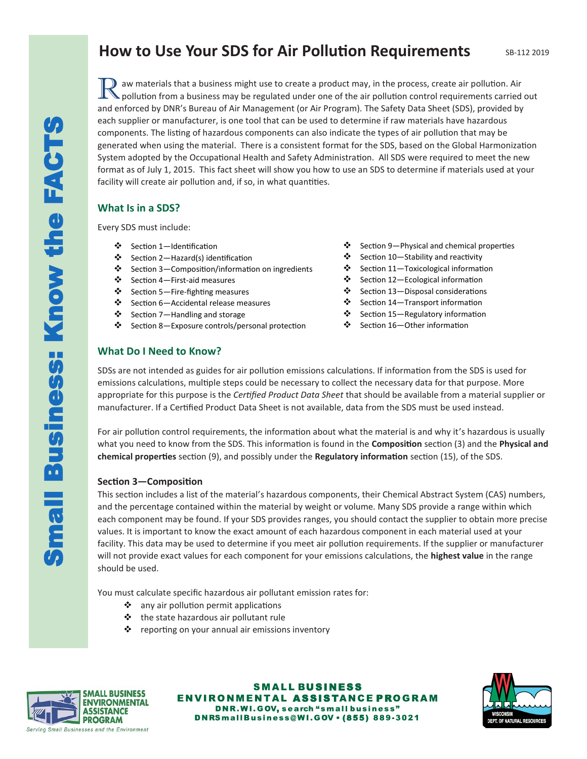# **How to Use Your SDS for Air Pollution Requirements**

R aw materials that a business might use to create a product may, in the process, create air pollution. Air pollution from a business may be regulated under one of the air pollution control requirements carried out aw materials that a business might use to create a product may, in the process, create air pollution. Air and enforced by DNR's Bureau of Air Management (or Air Program). The Safety Data Sheet (SDS), provided by each supplier or manufacturer, is one tool that can be used to determine if raw materials have hazardous components. The listing of hazardous components can also indicate the types of air pollution that may be generated when using the material. There is a consistent format for the SDS, based on the Global Harmonization System adopted by the Occupational Health and Safety Administration. All SDS were required to meet the new format as of July 1, 2015. This fact sheet will show you how to use an SDS to determine if materials used at your facility will create air pollution and, if so, in what quantities.

# **What Is in a SDS?**

Every SDS must include:

- ❖ Section 1—Identification
- ❖ Section 2—Hazard(s) identification
- ❖ Section 3—Composition/information on ingredients
- ❖ Section 4—First-aid measures
- ❖ Section 5—Fire-fighting measures
- ❖ Section 6—Accidental release measures
- ❖ Section 7—Handling and storage
- ❖ Section 8—Exposure controls/personal protection
- ❖ Section 9—Physical and chemical properties
- ❖ Section 10—Stability and reactivity
- ❖ Section 11—Toxicological information
- ❖ Section 12—Ecological information
- ❖ Section 13—Disposal considerations
- ❖ Section 14—Transport information
- ❖ Section 15—Regulatory information
- ❖ Section 16—Other information

# **What Do I Need to Know?**

SDSs are not intended as guides for air pollution emissions calculations. If information from the SDS is used for emissions calculations, multiple steps could be necessary to collect the necessary data for that purpose. More appropriate for this purpose is the *Certified Product Data Sheet* that should be available from a material supplier or manufacturer. If a Certified Product Data Sheet is not available, data from the SDS must be used instead.

For air pollution control requirements, the information about what the material is and why it's hazardous is usually what you need to know from the SDS. This information is found in the **Composition** section (3) and the **Physical and chemical properties** section (9), and possibly under the **Regulatory information** section (15), of the SDS.

### **Section 3—Composition**

This section includes a list of the material's hazardous components, their Chemical Abstract System (CAS) numbers, and the percentage contained within the material by weight or volume. Many SDS provide a range within which each component may be found. If your SDS provides ranges, you should contact the supplier to obtain more precise values. It is important to know the exact amount of each hazardous component in each material used at your facility. This data may be used to determine if you meet air pollution requirements. If the supplier or manufacturer will not provide exact values for each component for your emissions calculations, the **highest value** in the range should be used.

You must calculate specific hazardous air pollutant emission rates for:

- ❖ any air pollution permit applications
- ❖ the state hazardous air pollutant rule
- ❖ reporting on your annual air emissions inventory



SMALL BUSINESS ENVIRONMENTAL ASSISTANCE PROGRAM DNR.WI.GOV, search "small business" DNRSmallBusiness@WI.GOV . (855) 889-3021

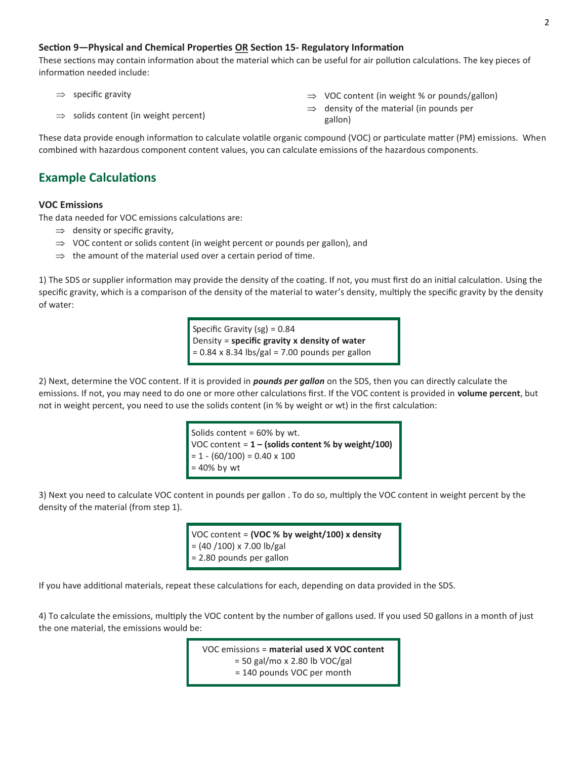#### **Section 9—Physical and Chemical Properties OR Section 15- Regulatory Information**

These sections may contain information about the material which can be useful for air pollution calculations. The key pieces of information needed include:

 $\Rightarrow$  specific gravity

- $\Rightarrow$  VOC content (in weight % or pounds/gallon)
- $\Rightarrow$  density of the material (in pounds per gallon)

These data provide enough information to calculate volatile organic compound (VOC) or particulate matter (PM) emissions. When combined with hazardous component content values, you can calculate emissions of the hazardous components.

# **Example Calculations**

#### **VOC Emissions**

The data needed for VOC emissions calculations are:

 $\Rightarrow$  solids content (in weight percent)

- $\Rightarrow$  density or specific gravity,
- $\Rightarrow$  VOC content or solids content (in weight percent or pounds per gallon), and
- $\Rightarrow$  the amount of the material used over a certain period of time.

1) The SDS or supplier information may provide the density of the coating. If not, you must first do an initial calculation. Using the specific gravity, which is a comparison of the density of the material to water's density, multiply the specific gravity by the density of water:

> Specific Gravity (sg) = 0.84 Density = **specific gravity x density of water**  $= 0.84$  x 8.34 lbs/gal = 7.00 pounds per gallon

2) Next, determine the VOC content. If it is provided in *pounds per gallon* on the SDS, then you can directly calculate the emissions. If not, you may need to do one or more other calculations first. If the VOC content is provided in **volume percent**, but not in weight percent, you need to use the solids content (in % by weight or wt) in the first calculation:

> Solids content = 60% by wt. VOC content = **1 – (solids content % by weight/100)**  $= 1 - (60/100) = 0.40 \times 100$ = 40% by wt

3) Next you need to calculate VOC content in pounds per gallon . To do so, multiply the VOC content in weight percent by the density of the material (from step 1).

> VOC content = **(VOC % by weight/100) x density**  $= (40 / 100) \times 7.00$  lb/gal = 2.80 pounds per gallon

If you have additional materials, repeat these calculations for each, depending on data provided in the SDS.

4) To calculate the emissions, multiply the VOC content by the number of gallons used. If you used 50 gallons in a month of just the one material, the emissions would be:

> VOC emissions = **material used X VOC content**  $= 50$  gal/mo x 2.80 lb VOC/gal = 140 pounds VOC per month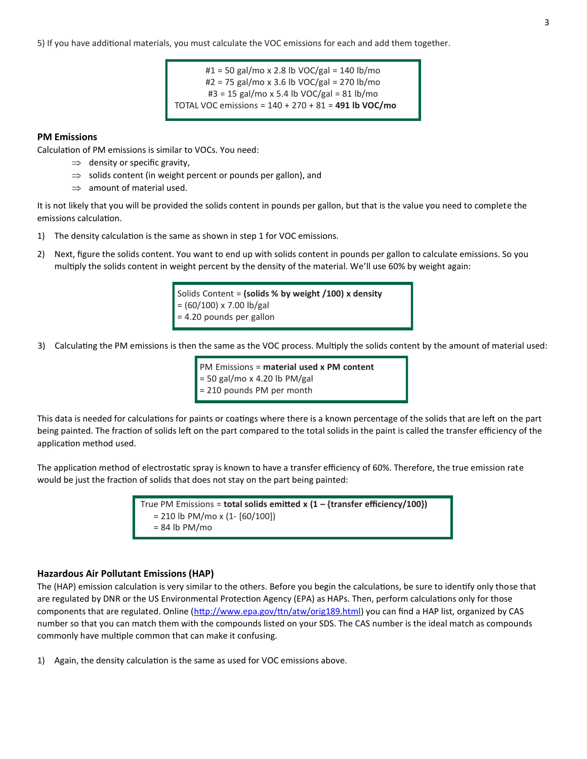5) If you have additional materials, you must calculate the VOC emissions for each and add them together.

 $#1 = 50$  gal/mo x 2.8 lb VOC/gal = 140 lb/mo #2 = 75 gal/mo x 3.6 lb VOC/gal = 270 lb/mo #3 = 15 gal/mo x 5.4 lb VOC/gal = 81 lb/mo TOTAL VOC emissions = 140 + 270 + 81 = **491 lb VOC/mo**

#### **PM Emissions**

Calculation of PM emissions is similar to VOCs. You need:

- $\Rightarrow$  density or specific gravity,
- $\Rightarrow$  solids content (in weight percent or pounds per gallon), and
- $\Rightarrow$  amount of material used.

It is not likely that you will be provided the solids content in pounds per gallon, but that is the value you need to complete the emissions calculation.

- 1) The density calculation is the same as shown in step 1 for VOC emissions.
- 2) Next, figure the solids content. You want to end up with solids content in pounds per gallon to calculate emissions. So you multiply the solids content in weight percent by the density of the material. We'll use 60% by weight again:

Solids Content = **(solids % by weight /100) x density** = (60/100) x 7.00 lb/gal = 4.20 pounds per gallon

3) Calculating the PM emissions is then the same as the VOC process. Multiply the solids content by the amount of material used:

PM Emissions = **material used x PM content** = 50 gal/mo x 4.20 lb PM/gal = 210 pounds PM per month

This data is needed for calculations for paints or coatings where there is a known percentage of the solids that are left on the part being painted. The fraction of solids left on the part compared to the total solids in the paint is called the transfer efficiency of the application method used.

The application method of electrostatic spray is known to have a transfer efficiency of 60%. Therefore, the true emission rate would be just the fraction of solids that does not stay on the part being painted:

> True PM Emissions = **total solids emitted x (1 – {transfer efficiency/100})** = 210 lb PM/mo x (1- [60/100])  $= 84$  lb PM/mo

#### **Hazardous Air Pollutant Emissions (HAP)**

The (HAP) emission calculation is very similar to the others. Before you begin the calculations, be sure to identify only those that are regulated by DNR or the US Environmental Protection Agency (EPA) as HAPs. Then, perform calculations only for those components that are regulated. Online [\(http://www.epa.gov/ttn/atw/orig189.html\)](http://www.epa.gov/ttn/atw/orig189.html) you can find a HAP list, organized by CAS number so that you can match them with the compounds listed on your SDS. The CAS number is the ideal match as compounds commonly have multiple common that can make it confusing.

1) Again, the density calculation is the same as used for VOC emissions above.